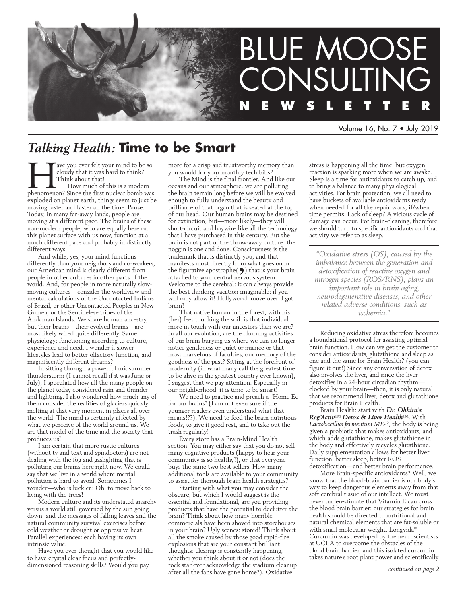

Volume 16, No. 7 • July 2019

# *Talking Health:* **Time to be Smart**

The voul ever felt your mind to be so cloudy that it was hard to think?<br>Think about that!<br>How much of this is a modern<br>phenomenon? Since the first nuclear bomb was cloudy that it was hard to think? Think about that! How much of this is a modern exploded on planet earth, things seem to just be moving faster and faster all the time. Pause. Today, in many far-away lands, people are moving at a different pace. The brains of these non-modern people, who are equally here on this planet surface with us now, function at a much different pace and probably in distinctly different ways.

And while, yes, your mind functions differently than your neighbors and co-workers, our American mind is clearly different from people in other cultures in other parts of the world. And, for people in more naturally slowmoving cultures—consider the worldview and mental calculations of the Uncontacted Indians of Brazil, or other Uncontacted Peoples in New Guinea, or the Sentinelese tribes of the Andaman Islands. We share human ancestry, but their brains—their evolved brains—are most likely wired quite differently. Same physiology: functioning according to culture, experience and need. I wonder if slower lifestyles lead to better olfactory function, and magnificently different dreams?

In sitting through a powerful midsummer thunderstorm (I cannot recall if it was June or July), I speculated how all the many people on the planet today considered rain and thunder and lightning. I also wondered how much any of them consider the realities of glaciers quickly melting at that very moment in places all over the world. The mind is certainly affected by what we perceive of the world around us. We are that model of the time and the society that produces us!

I am certain that more rustic cultures (without tv and text and spindoctors) are not dealing with the fog and gaslighting that is polluting our brains here right now. We could say that we live in a world where mental pollution is hard to avoid. Sometimes I wonder—who is luckier? Oh, to move back to living with the trees!

Modern culture and its understated anarchy versus a world still governed by the sun going down, and the messages of falling leaves and the natural community survival exercises before cold weather or drought or oppressive heat. Parallel experiences: each having its own intrinsic value.

Have you ever thought that you would like to have crystal clear focus and perfectlydimensioned reasoning skills? Would you pay

more for a crisp and trustworthy memory than you would for your monthly tech bills?

The Mind is the final frontier. And like our oceans and our atmosphere, we are polluting the brain terrain long before we will be evolved enough to fully understand the beauty and brilliance of that organ that is seated at the top of our head. Our human brains may be destined for extinction, but—more likely—they will short-circuit and haywire like all the technology that I have purchased in this century. But the brain is not part of the throw-away culture: the noggin is one and done. Consciousness is the trademark that is distinctly you, and that manifests most directly from what goes on in the figurative apostrophe $(9)$  that is your brain<br>attached to your central nervous system.<br>Welcome to the cerebral: it can always provide<br>the best thinking-vacation imaginable: if you attached to your central nervous system. Welcome to the cerebral: it can always provide the best thinking-vacation imaginable: if you will only allow it! Hollywood: move over. I got brain!

That native human in the forest, with his (her) feet touching the soil: is that individual more in touch with our ancestors than we are? In all our evolution, are the churning activities of our brain burying us where we can no longer notice gentleness or quiet or nuance or that most marvelous of faculties, our memory of the goodness of the past? Sitting at the forefront of modernity (in what many call the greatest time to be alive in the greatest country ever known), I suggest that we pay attention. Especially in our neighborhood, it is time to be smart!

We need to practice and preach a "Home Ec for our brains" (I am not even sure if the younger readers even understand what that means!??). We need to feed the brain nutritious foods, to give it good rest, and to take out the trash regularly!

Every store has a Brain-Mind Health section. You may either say that you do not sell many cognitive products (happy to hear your community is so healthy!), or that everyone buys the same two best sellers. How many additional tools are available to your community to assist for thorough brain health strategies?

Starting with what you may consider the obscure, but which I would suggest is the essential and foundational, are you providing products that have the potential to declutter the brain? Think about how many horrible commercials have been shoved into storehouses in your brain? Ugly scenes: stored! Think about all the smoke caused by those good rapid-fire explosions that are your constant brilliant thoughts: cleanup is constantly happening, whether you think about it or not (does the rock star ever acknowledge the stadium cleanup after all the fans have gone home?). Oxidative

stress is happening all the time, but oxygen reaction is sparking more when we are awake. Sleep is a time for antioxidants to catch up, and to bring a balance to many physiological activities. For brain protection, we all need to have buckets of available antioxidants ready when needed for all the repair work, if/when time permits. Lack of sleep? A vicious cycle of damage can occur. For brain-cleaning, therefore, we should turn to specific antioxidants and that activity we refer to as sleep.

*"Oxidative stress (OS), caused by the imbalance between the generation and detoxification of reactive oxygen and nitrogen species (ROS/RNS), plays an important role in brain aging, neurodegenerative diseases, and other related adverse conditions, such as ischemia."*

Reducing oxidative stress therefore becomes a foundational protocol for assisting optimal brain function. How can we get the customer to consider antioxidants, glutathione and sleep as one and the same for Brain Health? (you can figure it out!) Since any conversation of detox also involves the liver, and since the liver detoxifies in a 24-hour circadian rhythm clocked by your brain—then, it is only natural that we recommend liver, detox and glutathione products for Brain Health.

Brain Health: start with *Dr. Ohhira's Reg´Activ™ Detox & Liver Health*™. With *Lactobacillus fermentum ME-3*, the body is being given a probiotic that makes antioxidants, and which adds glutathione, makes glutathione in the body and effectively recycles glutathione. Daily supplementation allows for better liver function, better sleep, better ROS detoxification—and better brain performance.

More Brain-specific antioxidants? Well, we know that the blood-brain barrier is our body's way to keep dangerous elements away from that soft cerebral tissue of our intellect. We must never underestimate that Vitamin E can cross the blood brain barrier: our strategies for brain health should be directed to nutritional and natural chemical elements that are fat-soluble or with small molecular weight. Longvida® Curcumin was developed by the neuroscientists at UCLA to overcome the obstacles of the blood brain barrier, and this isolated curcumin takes nature's root plant power and scientifically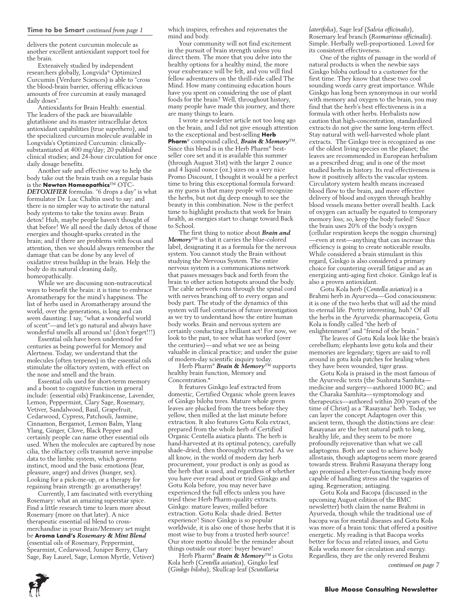delivers the potent curcumin molecule as another excellent antioxidant support tool for the brain.

Extensively studied by independent researchers globally, Longvida® Optimized Curcumin (Verdure Sciences) is able to "cross the blood-brain barrier, offering efficacious amounts of free curcumin at easily managed daily doses".

Antioxidants for Brain Health: essential. The leaders of the pack are bioavailable glutathione and its master intracellular detox antioxidant capabilities (true superhero), and the specialized curcumin molecule available in Longvida's Optimized Curcumin: clinicallysubstantiated at 400 mg/day; 20 published clinical studies; and 24-hour circulation for once daily dosage benefits.

Another safe and effective way to help the body take out the brain trash on a regular basis is the **Newton Homeopathics**™ OTC-*DETOXIFIER* formulas. "6 drops a day" is what formulator Dr. Luc Chaltin used to say: and there is no simpler way to activate the natural body systems to take the toxins away. Brain detox! Huh, maybe people haven't thought of that before! We all need the daily detox of those energies and thought-sparks created in the brain; and if there are problems with focus and attention, then we should always remember the damage that can be done by any level of oxidative stress buildup in the brain. Help the body do its natural cleaning daily, homeopathically.

While we are discussing non-nutraceutical ways to benefit the brain: it is time to embrace Aromatherapy for the mind's happiness. The list of herbs used in Aromatherapy around the world, over the generations, is long and can seem daunting: I say, "what a wonderful world of scent"—and let's go natural and always have wonderful smells all around us! (don't forget!!!)

Essential oils have been understood for centuries as being powerful for Memory and Alertness. Today, we understand that the molecules (often terpenes) in the essential oils stimulate the olfactory system, with effect on the nose and smell and the brain.

Essential oils used for short-term memory and a boost to cognitive function in general include: (essential oils) Frankincense, Lavender, Lemon, Peppermint, Clary Sage, Rosemary, Vetiver, Sandalwood, Basil, Grapefruit, Cedarwood, Cypress, Patchouli, Jasmine, Cinnamon, Bergamot, Lemon Balm, Ylang Ylang, Ginger, Clove, Black Pepper and certainly people can name other essential oils used. When the molecules are captured by nose cilia, the olfactory cells transmit nerve impulse data to the limbic system, which governs instinct, mood and the basic emotions (fear, pleasure, anger) and drives (hunger, sex). Looking for a pick-me-up, or a therapy for regaining brain strength: go aromatherapy!

Currently, I am fascinated with everything Rosemary: what an amazing superstar spice. Find a little research time to learn more about Rosemary (more on that later). A nice therapeutic essential oil blend to crossmerchandise in your Brain/Memory set might be **Aroma Land's** *Rosemary & Mint Blend*  (essential oils of Rosemary, Peppermint, Spearmint, Cedarwood, Juniper Berry, Clary Sage, Bay Laurel, Sage, Lemon Myrtle, Vetiver) which inspires, refreshes and rejuvenates the mind and body.

Your community will not find excitement in the pursuit of brain strength unless you direct them. The more that you delve into the healthy options for a healthy mind, the more your exuberance will be felt, and you will find fellow adventurers on the thrill-ride called The Mind. How many continuing education hours have you spent on considering the use of plant foods for the brain? Well, throughout history, many people have made this journey, and there are many things to learn.

I wrote a newsletter article not too long ago on the brain, and I did not give enough attention to the exceptional and best-selling **Herb Pharm**® compound called, *Brain & Memory*™. Since this blend is in the Herb Pharm® bestseller core set and it is available this summer (through August 31st) with the larger 2 ounce and 4 liquid ounce (oz.) sizes on a very nice Promo Discount, I thought it would be a perfect time to bring this exceptional formula forward: as my guess is that many people will recognize the herbs, but not dig deep enough to see the beauty in this combination. Now is the perfect time to highlight products that work for brain health, as energies start to change toward Back to School.

The first thing to notice about *Brain and Memory*™ is that it carries the blue-colored label, designating it as a formula for the nervous system. You cannot study the Brain without studying the Nervous System. The entire nervous system is a communications network that passes messages back and forth from the brain to other action hotspots around the body. The cable network runs through the spinal cord with nerves branching off to every organ and body part. The study of the dynamics of this system will fuel centuries of future investigation as we try to understand how the entire human body works. Brain and nervous system are certainly conducting a brilliant act! For now, we look to the past, to see what has worked (over the centuries)—and what we see as being valuable in clinical practice; and under the guise of modern-day scientific inquiry today.

Herb Pharm® *Brain & Memory*™ supports healthy brain function, Memory and Concentration.\*

It features Ginkgo leaf extracted from domestic, Certified Organic whole green leaves of Ginkgo biloba trees. Mature whole green leaves are plucked from the trees before they yellow, then milled at the last minute before extraction. It also features Gotu Kola extract, prepared from the whole herb of Certified Organic Centella asiatica plants. The herb is hand-harvested at its optimal potency, carefully shade-dried, then thoroughly extracted. As we all know, in the world of modern day herb procurement, your product is only as good as the herb that is used, and regardless of whether you have ever read about or tried Ginkgo and Gotu Kola before, you may never have experienced the full effects unless you have tried these Herb Pharm-quality extracts. Ginkgo: mature leaves; milled before extraction. Gotu Kola: shade dried. Better experience! Since Ginkgo is so popular worldwide, it is also one of those herbs that it is most wise to buy from a trusted herb source! Our store motto should be the reminder about things outside our store: buyer beware!

Herb Pharm® *Brain & Memory*™ is Gotu Kola herb (*Centella asiatica*), Gingko leaf (*Ginkgo biloba*), Skullcap leaf (*Scutellaria* 

#### *laterifolia*), Sage leaf (*Salvia officinalis*), Rosemary leaf branch (*Rosmarinus officinalis*). Simple. Herbally well-proportioned. Loved for its consistent effectiveness.

One of the rights of passage in the world of natural products is when the newbie says Ginkgo biloba outloud to a customer for the first time. They know that these two cool sounding words carry great importance. While Ginkgo has long been synonymous in our world with memory and oxygen to the brain, you may find that the herb's best effectiveness is in a formula with other herbs. Herbalists now caution that high-concentration, standardized extracts do not give the same long-term effect. Stay natural with well-harvested whole plant extracts. The Ginkgo tree is recognized as one of the oldest living species on the planet; the leaves are recommended in European herbalism as a prescribed drug; and is one of the most studied herbs in history. Its real effectiveness is how it positively affects the vascular system. Circulatory system health means increased blood flow to the brain, and more effective delivery of blood and oxygen through healthy blood vessels means better overall health. Lack of oxygen can actually be equated to temporary memory loss; so, keep the body fueled! Since the brain uses 20% of the body's oxygen (cellular respiration keeps the noggin churning) —even at rest—anything that can increase this efficiency is going to create noticeable results. While considered a brain stimulant in this regard, Ginkgo is also considered a primary choice for countering overall fatigue and as an energizing anti-aging first choice. Ginkgo leaf is also a proven antioxidant.

Gotu Kola herb (*Centella asiatica*) is a Brahmi herb in Ayurveda—God consciousness: it is one of the two herbs that will aid the mind to eternal life. Pretty interesting, huh? Of all the herbs in the Ayurvedic pharmacopeia, Gotu Kola is fondly called "the herb of enlightenment" and "friend of the brain."

The leaves of Gotu Kola look like the brain's cerebellum; elephants love gotu kola and their memories are legendary; tigers are said to roll around in gotu kola patches for healing when they have been wounded, tiger grass.

Gotu Kola is praised in the most famous of the Ayurvedic texts (the Sushruta Samhita medicine and surgery—authored 1000 BC; and the Charaka Samhita—symptomology and therapeutics—authored within 200 years of the time of Christ) as a "Rasayana" herb. Today, we can layer the concept Adaptogen over this ancient term, though the distinctions are clear: Rasayanas are the best natural path to long, healthy life, and they seem to be more profoundly rejuvenative than what we call adaptogens. Both are used to achieve body allostasis, though adaptogens seem more geared towards stress. Brahmi Rasayana therapy long ago promised a better-functioning body more capable of handling stress and the vagaries of aging. Regeneration; antiaging.

Gotu Kola and Bacopa (discussed in the upcoming August edition of the BMC newsletter) both claim the name Brahmi in Ayurveda, though while the traditional use of bacopa was for mental diseases and Gotu Kola was more of a brain tonic that offered a positive energetic. My reading is that Bacopa works better for focus and related issues, and Gotu Kola works more for circulation and energy. Regardless, they are the only revered Brahmi

*continued on page 7*

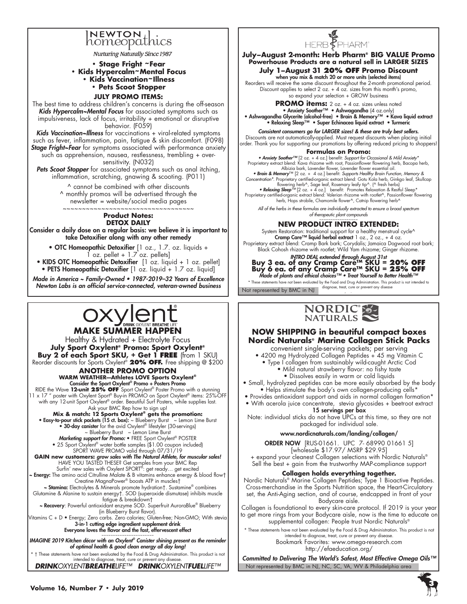# **NEWTON** homeopathics

**Nurturing Naturally Since 1987** 

**• Stage Fright ~Fear • Kids Hypercalm~Mental Focus • Kids Vaccination~Illness • Pets Scoot Stopper** 

#### **July Promo Items:**

The best time to address children's concerns is during the off-season *Kids Hypercalm~Mental Focus* for associated symptoms such as impulsiveness, lack of focus, irritability + emotional or disruptive behavior. (F059)

*Kids Vaccination~Illness* for vaccinations + viral-related symptoms such as fever, inflammation, pain, fatigue & skin discomfort. (F098) **Stage Fright~Fear** for symptoms associated with performance anxiety such as apprehension, nausea, restlessness, trembling + oversensitivity. (N032)

Pets Scoot Stopper for associated symptoms such as anal itching, inflammation, scratching, gnawing & scooting. (P011)

> ^ cannot be combined with other discounts ^ monthly promos will be advertised through the newsletter = website/social media pages

 $~\sim~\sim~\sim~\sim~\sim~\sim~\sim~\sim~\sim~$ 

#### **Product Notes: DETOX DAILY**

Consider a daily dose on a regular basis: we believe it is important to take Detoxifier along with any other remedy

- OTC Homeopathic Detoxifier [1 oz., 1.7. oz. liquids +  $1$  oz. pellet +  $1.7$  oz. pellets]
- KIDS OTC Homeopathic Detoxifier [1 oz. liquid + 1 oz. pellet] • PETS Homeopathic Detoxifier [1 oz. liquid + 1.7 oz. liquid]

Made in America ~ Family-Owned • 1987-2019–32 Years of Excellence Newton Labs is an official service-connected, veteran-owned business

# pxylent **MAKE SUMMER HAPPEN**

Healthy & Hydrated + Electrolyte Focus **July Sport Oxylent® Promo: Sport Oxylent® Buy 2 of each Sport SKU, + Get 1 FREE** (from 1 SKU) Reorder discounts for Sports Oxylent® **20% OFF.** Free shipping @ \$200

> **ANOTHER PROMO OPTION WARM WEATHER—Athletes LOVE Sports Oxylent®** Consider the Sport Oxylent® Promo + Posters Promo

RIDE the Wave 12-unit 25% OFF Sport Oxylent® Poster Promo with a stunning<br>11 x 17 " poster with Oxylent Sport® Buy-in PROMO on Sport Oxylent® items: 25%-OFF with any 12-unit Sport Oxylent® order. Beautiful Surf Posters, while supplies last.

# Ask your BMC Rep how to sign up!<br>**Mix & match: 12 Sports Oxylent® gets the promotion:**<br>• Easy-to-pour stick packets (15 ct. box): ~ Blueberry Burst ~ Lemon Lime Burst •

• 30-day canister for the avid Oxylent® lifestyler (30-servings) ~ Blueberry Burst ~ Lemon Lime Burst

Marketing support for Promo: • FREE Sport Oxylent® POSTER • 25 Sport Oxylent® water bottle samples (\$1.00 coupon included)

SPORT WAVE PROMO valid through 07/31/19 GAIN new customers: grow sales with The Natural Athlete, for muscular sales! HAVE YOU TASTED THESE? Get samples from your BMC Rep Surfin' new sales with Oxylent SPORT®: get ready… get excited ~ Energy: The amino acid Citrulline Malate & B vitamins enhance energy & blood flow† Creatine MagnaPower® boosts ATP in muscles†

 ~ Stamina: Electrolytes & Minerals promote hydration†. Sustamine® combines Glutamine & Alanine to sustain energy†. SOD (superoxide dismutase) inhibits muscle

fatigue & breakdown†<br>Mecovery: Powerful antioxidant enzyme SOD. Superfruit AuroraBlue® Blueberry → (in Blueberry Burst flavor).

Vitamins C + D • Energy; Zero carbs. Zero calories; Gluten-free; Non-GMO; With stevia<br>3-in-1 cutting edge ingredient supplement drink Everyone loves the flavor and the fast, effervescent effect<br>~~~~~~~~~~~~~~~~~~~~~~~~~

IMAGINE 2019 Kitchen décor with an Oxylent*® Canister shining present as the reminder*  of optimal health & good clean energy all day long!

\* † These statements have not been evaluated by the Food & Drug Administration. This product is not intended to diagnose, treat, cure or prevent any disease. *DRINKOXYLENTBREATHELIFE™ DRINKOXYLENTFUELLIFE™*



**July–August 2-month: Herb Pharm® BIG VALUE Promo Powerhouse Products are a natural sell in LARGER SIZES**

# **July 1–August 31 20% OFF Promo Discount** when you mix & match 20 or more units (selected items)

Reorders will receive the same discount throughout the 2-month promotional period. Discount applies to select 2 oz. + 4 oz. sizes from this month's promo, so expand your selection + GROW business

**PROMO items:** 2 oz. + 4 oz. sizes unless noted

• Anxiety Soother™ • Ashwagandha (4 oz.only) • Ashwagandha Glycerite (alcohol-free) • Brain & Memory™ • Kava liquid extract • Relaxing Sleep™ • Super Echinacea liquid extract • Turmeric

### Consistent consumers go for LARGER sizes! & these are truly best sellers.

Discounts are not automatically-applied. Must request discounts when placing initial order. Thank you for supporting our promotions by offering reduced pricing to shoppers!

#### **Formulas on Promo:**

• Anxiety Soother™ [2 oz. + 4 oz.] benefit: *Support for Occasional & Mild Anxiety\** Proprietary extract blend: Kava rhizome with root, Passionflower flowering herb, Bacopa herb,

Albizia bark, Lavender flower, Lavender flower essential oil.<br>• Brain & Memory<sup>, an</sup> [2 oz. + 4 oz.] benefit: Supports Healthy Brain Function, Memory &<br>Concentration\*. Proprietary certified-organic extract blend: Gotu Kola flowering herb^, Sage leaf, Rosemary leafy tip^. (^ fresh herbs)<br>• **Relaxing Sleep**™ (2 oz. + 4 oz.] benefit: Promotes Relaxation & Restful Sleep\*<br>Proprietary certified-organic extract blend: Valerian rhizome with rootlet^

herb, Hops strobile, Chamomile flower^, Catnip flowering herb^

*All of the herbs in these formulas are individually extracted to ensure a broad spectrum of therapeutic plant compounds*

# ~~~~~~~~~~~~~~~~~ **NEW PRODUCT INTRO EXTENDED:**

System Restoration: traditional support for a healthy menstrual cycle^<br>Cr**amp Care™ liquid herbal extract** 1 oz., 2 oz., + 4 oz. Proprietary extract blend: Cramp Bark bark; Corydalis; Jamaica Dogwood root bark; Black Cohosh rhizome with rootlet; Wild Yam rhizome; Ginger rhizome.

INTRO DEAL extended through August 31st **Buy 3 ea. of any Cramp Care™ SKU = 20% OFF Buy 6 ea. of any Cramp Care™ SKU = 25% OFF**<br>Made of plants and ethical choices™ • Treat Yourself to Better Health™

Not represented by BMC in  $NJ$  diagnose, treat, cure or prevent any disease These statements have not been evaluated by the Food and Drug Administration. This product is not intended to



# **NOW SHIPPING in beautiful compact boxes Nordic Naturals® Marine Collagen Stick Packs**

convenient single-serving packets; per serving

• 4200 mg Hydrolyzed Collagen Peptides + 45 mg Vitamin C

- Type I collagen from sustainably wild-caught Arctic Cod • Mild natural strawberry flavor: no fishy taste
	- Dissolves easily in warm or cold liquids
- Small, hydrolyzed peptides can be more easily absorbed by the body • Helps stimulate the body's own collagen-producing cells\*
- Provides antioxidant support and aids in normal collagen formation\*
- With acerola juice concentrate, stevia glycosides + beetroot extract 15 servings per box
- Note: individual sticks do not have UPCs at this time, so they are not packaged for individual sale.

### www.nordicnaturals.com/landing/collagen/

**ORDER NOW** [RUS-01661. UPC 7-68990 01661 5] [wholesale \$17.97/ MSRP \$29.95] + expand your cleanest Collagen selections with Nordic Naturals®

Sell the best + gain from the trustworthy MAP-compliance support

### **Collagen holds everything together.**

Nordic Naturals® Marine Collagen Peptides; Type 1 Bioactive Peptides. Cross-merchandise in the Sports Nutrition space, the Heart-Circulatory set, the Anti-Aging section, and of course, endcapped in front of your Bodycare aisle.

Collagen is foundational to every skin-care protocol. If 2019 is your year to get more rings from your Bodycare aisle, now is the time to educate on supplemental collagen: People trust Nordic Naturals®

\* These statements have not been evaluated by the Food & Drug Administration. This product is not intended to diagnose, treat, cure or prevent any disease.

Bookmark Favorites: www.omega-research.com http://efaeducation.org/

Not represented by BMC in NJ, NC, SC, VA, WV & Philadelphia area Committed to Delivering The World's Safest, Most Effective Omega Oils™

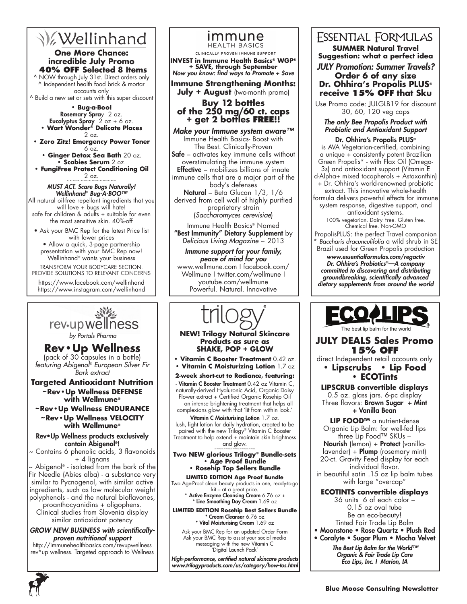# **V**ellinhand

# **One More Chance: incredible July Promo 40% OFF Selected 8 Items**

^ NOW through July 31st. Direct orders only ^ Independent health food brick & mortar accounts only

^ Build a new set or sets with this super discount **• Bug-a-Boo!**

Rosemary Spray 2 oz. **Eucalyptus Spray** 2 oz + 6 oz. **• Wart Wonder® Delicate Places**

- 2 oz. **• Zero Zitz! Emergency Power Toner**  6 oz.
	- **Ginger Detox Sea Bath** 20 oz. **• Scabies Serum** 2 oz.
- **FungiFree Protect Conditioning Oil**   $2$  oz.

### MUST ACT. Scare Bugs Naturally! Wellinhand*®* Bug-A-BOO™

All natural oil-free repellant ingredients that you will love + bugs will hate! safe for children & adults + suitable for even the most sensitive skin. 40%-off

• Ask your BMC Rep for the latest Price list with lower prices

• Allow a quick, 3-page partnership presentation with your BMC Rep now! Wellinhand® wants your business

#### TRANSFORM YOUR BODYCARE SECTION. PROVIDE SOLUTIONS TO RELEVANT CONCERNS

https://www.facebook.com/wellinhand https://www.instagram.com/wellinhand



**Rev•Up Wellness** (pack of 30 capsules in a bottle) *featuring Abigenol® European Silver Fir Bark extract*

**Targeted Antioxidant Nutrition ~Rev•Up Wellness DEFENSE with Wellmune®** 

### **~Rev•Up Wellness ENDURANCE ~Rev•Up Wellness VELOCITY**

# **with Wellmune®** Rev•Up Wellness products exclusively

# contain Abigenol®!

~ Contains 6 phenolic acids, 3 flavonoids + 4 lignans

~ Abigenol® - isolated from the bark of the Fir Needle (Abies alba) - a substance very similar to Pycnogenol, with similar active ingredients, such as low molecular weight polyphenols - and the natural bioflavones,

proanthocyanidins + oligophens. Clinical studies from Slovenia display similar antioxidant potency

GROW NEW BUSINESS with scientificallyproven nutritional support http://immunehealthbasics.com/revupwellness

rev\*up wellness. Targeted approach to Wellness

### immune **HEALTH BASICS**

CLINICALLY PROVEN IMMUNE SUPPORT

**INVEST in Immune Health Basics® WGP® + SAVE, through September** Now you know: find ways to Promote + \$ave

# **Immune Strengthening Months:**

# **July + August** (two-month promo)

# **Buy 12 bottles of the 250 mg/60 ct. caps + get 2 bottles free!!**

Make your Immune system aware™ Immune Health Basics- Boost with The Best. Clinically-Proven Safe – activates key immune cells without overstimulating the immune system **Effective** – mobilizes billions of innate immune cells that are a major part of the body's defenses Natural – Beta Glucan 1/3, 1/6 derived from cell wall of highly purified proprietary strain (*Saccharomyces cerevisiae*) Immune Health Basics® Named "Best Immunity" Dietary Supplement by

*Delicious Living Magazine* ~ 2013

Immune support for your family, peace of mind for you www.wellmune.com I facebook.com/ Wellmune I twitter.com/wellmune I youtube.com/wellmune Powerful. Natural. Innovative

### **NEW! Trilogy Natural Skincare Products as sure as SHAKE, POP + GLOW**

**• Vitamin C Booster Treatment** 0.42 oz.

**• Vitamin C Moisturizing Lotion** 1.7 oz

**2-week short-cut to Radiance, featuring:** · Vitamin C Booster Treatment 0.42 oz Vitamin C, naturally-derived Hyaluronic Acid, Organic Daisy Flower extract + Certified Organic Rosehip Oil an intense brightening treatment that helps all complexions glow with that 'lit from within look.'

Vitamin C Moisturising Lotion 1.7 oz. lush, light lotion for daily hydration, created to be paired with the new Trilogy® Vitamin C Booster Treatment to help extend + maintain skin brightness and glow.

#### **Two NEW glorious Trilogy® Bundle-sets • Age Proof Bundle • Rosehip Top Sellers Bundle**

**LIMITED EDITION Age Proof Bundle** Two Age-Proof clean beauty products in one, ready-to-go

kit – at a great price. \* Active Enzyme Cleansing Cream  $6.76$  oz  $+$ \* Line Smoothing Day Cream 1.69 oz

**LIMITED EDITION Rosehip Best Sellers Bundle** \* Cream Cleanser 6.76 oz \* Vital Moisturising Cream 1.69 oz

Ask your BMC Rep for an updated Order Form Ask your BMC Rep to assist your social media messaging with the new Vitamin C 'Digital Launch Pack'

High-performance, certified natural skincare products www.trilogyproducts.com/us/category/how-tos.html

# **ESSENTIAL FORMULAS SUMMER Natural Travel Suggestion: what a perfect idea**

JULY Promotion: Summer Travels? **Order 6 of any size**

**Dr. Ohhira's Propolis PLUS® receive 15% OFF that Sku**

Use Promo code: JULGLB19 for discount 30, 60, 120 veg caps

# The only Bee Propolis Product with Probiotic and Antioxidant Support

Dr. Ohhira's Propolis PLUS®

is AVA Vegetarian-certified, combining a unique + consistently potent Brazilian Green Propolis\* - with Flax Oil (Omega-3s) and antioxidant support (Vitamin E

d-Alpha+ mixed tocopherols + Astaxanthin) + Dr. Ohhira's world-renowned probiotic

extract. This innovative whole-health formula delivers powerful effects for immune system response, digestive support, and

antioxidant systems. 100% vegetarian. Dairy Free. Gluten free. Chemical free. Non-GMO

PropolisPLUS: the perfect Travel companion \* *Baccharis dracunculifolia* a wild shrub in SE Brazil used for Green Propolis production

www.essentialformulas.com/regactiv Dr. Ohhira's Probiotics*®—A company*  committed to discovering and distributing groundbreaking, scientifically advanced dietary supplements from around the world



**JULY DEALS Sales Promo** 

**15% OFF** direct Independent retail accounts only

**• Lipscrubs • Lip Food**

# **• ECOTints**

**Lipscrub convertible displays** 0.5 oz. glass jars. 6-pc display Three flavors: Brown Sugar + Mint + Vanilla Bean

**LIP FOOD™** a nutrient-dense Organic Lip Balm: for well-fed lips three Lip Food™ SKUs –

Nourish (lemon) + Protect (vanilla-

lavender) + Plump (rosemary mint) 20-ct. Gravity Feed display for each individual flavor.

in beautiful satin .15 oz lip balm tubes with large "overcap"

# **ECOtints convertible displays**

36 units 6 of each color – 0.15 oz oval tube Be an eco-beauty! Tinted Fair Trade Lip Balm

- Moonstone Rose Quartz Plush Red
- Coralyte Sugar Plum Mocha Velvet

The Best Lip Balm for the World™ Organic & Fair Trade Lip Care Eco Lips, Inc. I Marion, IA

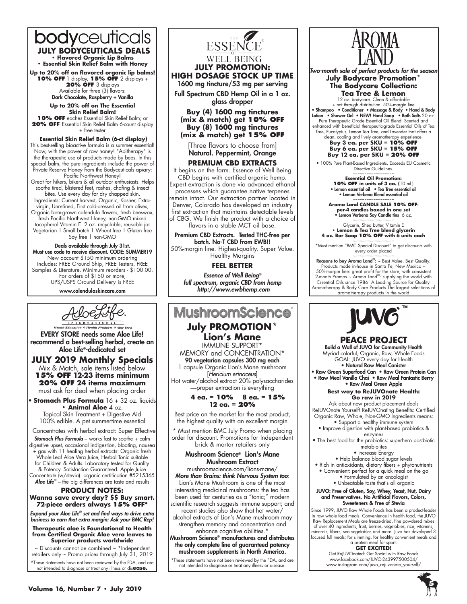# bodyceutic  **JULY BODYCEUTICALS DEALS**<br>• Flavored Organic Lip Balms

**• Essential Skin Relief Balm with Honey** 

**Up to 20% off on flavored organic lip balms! 10% off** 1 display, **15% off** 2 displays + **20% off** 3 displays

Available for three (3) flavors:<br>**Dark Chocolate, Raspberry + Vanilla** 

**Up to 20% off on The Essential Skin Relief Balm!**

**10% off** eaches Essential Skin Relief Balm; or **20% off** Essential Skin Relief Balm 6-count display + free tester

#### **Essential Skin Relief Balm (6-ct display)** This best-selling bioactive formula is a summer essential! Now, with the power of raw honey! "Apitherapy" is the therapeutic use of products made by bees. In this special balm, the pure ingredients include the power of

Private Reserve Honey from the Bodyceuticals apiary: Pacific Northwest Honey! Great for hikers, bikers & all outdoor enthusiasts. Helps soothe tired, blistered feet, rashes, chafing & insect bites. Use every day for dry chapped skin. Ingredients: Current harvest, Organic, Kosher, Extravirgin, Unrefined, First cold-pressed oil from olives, Organic farm-grown calendula flowers, fresh beeswax, fresh Pacific Northwest Honey, non-GMO mixed tocopherol Vitamin E. 2 oz. recyclable, reusable jar Vegetarian | Small batch | Wheat free | Gluten free Soy free | non-GMO

Deals available through July 31st. Must use code to receive discount. CODE: SUMMER19 New account \$150 minimum ordering Includes: FREE Ground Ship, FREE Testers, FREE Samples & Literature. Minimum reorders - \$100.00. For orders of \$150 or more UPS/USPS Ground Delivery is FREE

www.calendulaskincare.com



EVERY STORE needs some Aloe Life! recommend a best-selling herbal, create an Aloe Life®-dedicated set

# **JULY 2019 Monthly Specials**

Mix & Match, sale items listed below **15% OFF 12-23 items minimum 20% OFF 24 items maximum** must ask for deal when placing order

• **Stomach Plus Formula** 16 + 32 oz. liquids **• Animal Aloe** 4 oz. Topical Skin Treatment + Digestive Aid 100% edible. A pet summertime essential

Concentrates with herbal extract: Super Effective

*Stomach Plus Formula* – works fast to soothe + calm digestive upset, occasional indigestion, bloating, nausea + gas with 11 healing herbal extracts: Organic fresh Whole Leaf Aloe Vera Juice, Herbal Tonic suitable for Children & Adults. Laboratory tested for Quality & Potency. Satisfaction Guaranteed. Apple Juice Concentrate (w/stevia). organic certification #5215365 Aloe Life*®* – the big differences are taste and results

#### **PRODUCT NOTES: Wanna save every day? \$\$ Buy smart. 72-piece orders always 15% OFF\***

Expand your Aloe Life*®* set and find ways to drive extra business to earn that extra margin: Ask your BMC Rep!

**Therapeutic aloe is Foundational to Health from Certified Organic Aloe vera leaves to Superior products worldwide** 

retailers only ~ Promo prices through July 31, 2019

~ Discounts cannot be combined ~ \*Independent

^These statements have not been reviewed by the FDA, and are not intended to diagnose or treat any illness or dis**ease.**



Full Spectrum CBD Hemp Oil in a 1 oz. glass dropper

**Buy (4) 1600 mg tinctures (mix & match) get 10% OFF Buy (8) 1600 mg tinctures (mix & match) get 15% OFF**

[Three flavors to choose from] Natural. Peppermint, Orange

# **PREMIUM CBD EXTRACTS**

It begins on the farm. Essence of Well Being CBD begins with certified organic hemp. Expert extraction is done via advanced ethanol processes which guarantee native terpenes remain intact. Our extraction partner located in Denver, Colorado has developed an industry first extraction that maintains detectable levels of CBG. We finish the product with a choice of flavors in a stable MCT oil base.

Premium CBD Extracts. Tested THC-free per batch. No-T CBD from EWB!!

50%-margin line. Highest-quality. Super Value. Healthy Margins

**FEEL BETTER**

Essence of Well Being*®* full spectrum, organic CBD from hemp http://www.ewbhemp.com

# **MushroomScience July PROMOTION\* Lion's Mane**

IMMUNE SUPPORT\* MEMORY and CONCENTRATION\* 90 vegetarian capsules 300 mg each

1 capsule Organic Lion's Mane mushroom [*Hericium erinaceus*] Hot water/alcohol extract 20% polysaccharides —proper extraction is everything

> **4 ea. = 10% 8 ea. = 15% 12 ea. = 20%**

Best price on the market for the most product, the highest quality with an excellent margin

\* Must mention BMC July Promo when placing order for discount. Promotions for Independent brick & mortar retailers only

### Mushroom Science® Lion's Mane Mushroom Extract

mushroomscience.com/lions-mane/ More than Brains: think Nervous System too: Lion's Mane Mushroom is one of the most interesting medicinal mushrooms: the tea has been used for centuries as a "tonic;" modern scientific research suggests immune support; and

recent studies also show that hot water/

alcohol extracts of Lion's Mane mushroom may strengthen memory and concentration and enhance cognitive abilities.<sup>\*</sup>

Mushroom Science® manufactures and distributes the only complete line of guaranteed potency mushroom supplements in North America.

These statements have not been reviewed by the FDA, and are not intended to diagnose or treat any illness or disease.



Two-month sale of perfect products for the season **July Bodycare Promotion\* The Bodycare Collection:** 

**Tea Tree & Lemon** 12 oz. bodycare. Clean & affordable + not through distribution. 50%-margin line

• Shampoo • Conditioner • Massage & Body • Hand & Body Lotion • Shower Gel • NEW! Hand Soap • Bath Salts 20 oz. Pure Therapeutic Grade Essential Oil Blend: Scented and enhanced with beneficial therapeutic-grade Essential Oils of Tea Tree, Eucalyptus, Lemon Tea Tree, and Lavender that offers a

clean, cooling and lively aromatherapy experience. **Buy 3 ea. per SKU = 10% OFF Buy 6 ea. per SKU = 15% OFF Buy 12 ea. per SKU = 20% OFF**

• 100% Pure Plant-Based Ingredients, Exceeds EU Cosmetic Directive Guidelines

~~~~~~~~~~~~~~~~~~ **Essential Oil Promotion: 10% OFF in units of 3 ea. (**10 ml.) • Lemon essential oil • Tea Tree essential oil • Lemon Verbena Blend essential oil

~~~~~~~~~~~~~~~~~~ **Aroma Land CANDLE SALE 10% OFFper-4 candles boxed in one set<br>• Lemon Verbena Soy Candle tins** 6 oz.

~~~~~~~~~~~~~~~~~~ Glycerin, Shea butter, Vitamin E

**• Lemon & Tea Tree blend glycerin 4 oz. Bar Soap 10% OFF with 6 units each** 

~~~~~~~~~~~~~~~~~~ \*Must mention "BMC Special Discount" to get discounts with every order placed

Reasons to buy Aroma Land®: ~ Best Value. Best Quality.<br>Products made in-house in Santa Fe, New Mexico ~ 50%-margin line: great profit for the store, with consistent 2-month Promos ~ Aroma Land®: supplying the world with Essential Oils since 1986 A Leading Source for Quality Aromatherapy & Body Care Products The largest selections of aromatherapy products in the world



# **PEACE Project**  Build a Wall of JUVO for Community Health

Myriad colorful, Organic, Raw, Whole Foods GOAL: JUVO every day for Health • Natural Raw Meal Canister • Raw Green Superfood Can • Raw Green Protein Can • Raw Meal Vanilla Chai • Raw Meal Fantastic Berry • Raw Meal Green Apple

**Best way to ReJUVOnate Health: Go raw in 2019**

Ask about new product placement deals ReJUVOnate Yourself! ReJUVOnating Benefits: Certified Organic Raw, Whole, Non-GMO Ingredients means: • Support a healthy immune system • Improve digestion with plant-based probiotics &

enzymes

• The best food for the probiotics: superhero postbiotic metabiolites

• Increase Energy

- Help balance blood sugar levels
- Rich in antioxidants, dietary fibers + phytonutrients • Convenient: perfect for a quick meal on the go • Formulated by an oncologist
	- Unbeatable taste that's all organic

#### JUVO: Free of Gluten, Soy, Whey, Yeast, Nut, Dairy and Preservatives. No Artificial Flavors, Colors, Sweeteners & Free of Stevia

Since 1999, JUVO Raw Whole Foods has been a product-leader in raw whole food meals. Convenience in health food, the JUVO Raw Replacement Meals are freeze-dried, fine powdered mixes of over 40 ingredients; fruit, berries, vegetables, rice, vitamins, minerals, fibers, sea vegetables and more. Juvo has developed 3 focused full meals; for slimming, for healthy convenient meals and a protein meal for sport.

## **GET EXCITED!**

Get ReJUVOnated: Get Social with Raw Foods www.facebook.com/JUVO-243997500504/ www.instagram.com/juvo\_rejuvonate\_yourself/

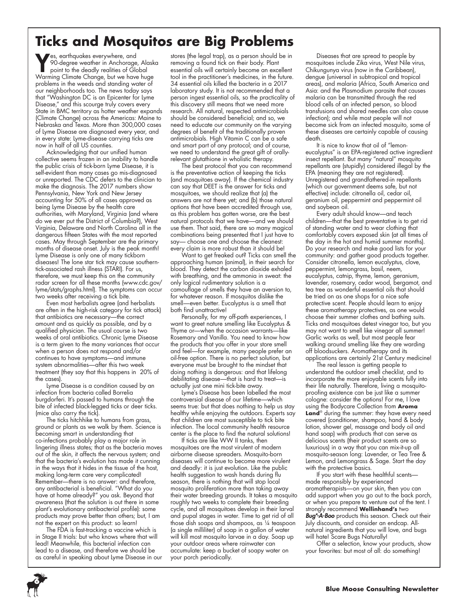# **Ticks and Mosquitos are Big Problems**

Yes, earthquakes everywhere, and<br>90-degree weather in Anchorage<br>point to the deadly realities of Glo<br>Warming Climate Change, but we bave 90-degree weather in Anchorage, Alaska point to the deadly realities of Global Warming Climate Change, but we have huge problems in the weeds and standing water of our neighborhoods too. The news today says that "Washington DC is an Epicenter for Lyme Disease," and this scourge truly covers every State in BMC territory as hotter weather expands (Climate Change) across the Americas: Maine to Nebraska and Texas. More than 300,000 cases of Lyme Disease are diagnosed every year, and in every state: Lyme-disease carrying ticks are now in half of all US counties.

Acknowledging that our unified human collective seems frozen in an inability to handle the public crisis of tick-born Lyme Disease, it is self-evident than many cases go mis-diagnosed or unreported. The CDC defers to the clinician to make the diagnosis. The 2017 numbers show Pennsylvania, New York and New Jersey accounting for 50% of all cases approved as being Lyme Disease by the health care authorities, with Maryland, Virginia (and where do we ever put the District of Columbia?), West Virginia, Delaware and North Carolina all in the dangerous fifteen States with the most reported cases. May through September are the primary months of disease onset. July is the peak month! Lyme Disease is only one of many tickborn diseases! The lone star tick may cause southerntick-associated rash illness (STARI). For us, therefore, we must keep this on the community radar screen for all these months (www.cdc.gov/ lyme/stats/graphs.html). The symptoms can occur two weeks after receiving a tick bite.

Even most herbalists agree (and herbalists are often in the high-risk category for tick attack) that antibiotics are necessary—the correct amount and as quickly as possible, and by a qualified physician. The usual course is two weeks of oral antibiotics. Chronic Lyme Disease is a term given to the many variances that occur when a person does not respond and/or continues to have symptoms—and immune system abnormalities—after this two week treatment (they say that this happens in 20% of the cases).

Lyme Disease is a condition caused by an infection from bacteria called Borrelia burgdorferi. It's passed to humans through the bite of infected black-legged ticks or deer ticks. (mice also carry the tick).

The ticks hitchhike to humans from grass, ground or plants as we walk by them. Science is becoming smart in understanding that co-infections probably play a major role in lingering illness states; that as the bacteria moves out of the skin, it affects the nervous system; and that the bacteria's evolution has made it cunning in the ways that it hides in the tissue of the host, making long-term care very complicated! Remember—there is no answer: and therefore, any antibacterial is beneficial. "What do you have at home already?" you ask. Beyond that awareness (that the solution is out there in some plant's evolutionary antibacterial profile): some products may prove better than others; but, I am not the expert on this product: so learn!

The FDA is fast-tracking a vaccine which is in Stage II trials: but who knows where that will lead! Meanwhile, this bacterial infection can lead to a disease, and therefore we should be as careful in speaking about Lyme Disease in our

**6**

stores (the legal trap), as a person should be in removing a found tick on their body. Plant essential oils will certainly become an excellent tool in the practitioner's medicines, in the future. 34 essential oils killed the bacteria in a 2017 laboratory study. It is not recommended that a person ingest essential oils, so the practicality of this discovery still means that we need more research. All natural, respected antimicrobials should be considered beneficial; and so, we need to educate our community on the varying degrees of benefit of the traditionally proven antimicrobials. High Vitamin C can be a safe and smart part of any protocol; and of course, we need to understand the great gift of orallyrelevant glutathione in wholistic therapy.

The best protocol that you can recommend is the preventative action of keeping the ticks (and mosquitoes away). If the chemical industry can say that DEET is the answer for ticks and mosquitoes, we should realize that (a) the answers are not there yet; and (b) those natural options that have been accredited through use, as this problem has gotten worse, are the best natural protocols that we have—and we should use them. That said, there are so many magical combinations being presented that I just have to say— choose one and choose the cleanest: every claim is more robust than it should be!

Want to get freaked out? Ticks can smell the approaching human (animal), in their search for blood. They detect the carbon dioxide exhaled with breathing, and the ammonia in sweat: the only logical rudimentary solution is a camouflage of smells they have an aversion to, for whatever reason. If mosquitos dislike the smell—even better. Eucalyptus is a smell that both find unattractive!

Personally, for my off-path experiences, I want to greet nature smelling like Eucalyptus & Thyme or—when the occasion warrants—like Rosemary and Vanilla. You need to know how the products that you offer in your store smell and feel—for example, many people prefer an oil-free option. There is no perfect solution, but everyone must be brought to the mindset that doing nothing is dangerous: and that lifelong debilitating disease—that is hard to treat—is actually just one mini tick-bite away.

Lyme's Disease has been labelled the most controversial disease of our lifetime—which seems true: but that does nothing to help us stay healthy while enjoying the outdoors. Experts say that children are most susceptible to tick bite infection. The local community health resource center is the place to find the natural solutions!

If ticks are like WW II tanks, then mosquitoes are the most virulent of modern airborne disease spreaders. Mosquito-born diseases will continue to become more virulent and deadly: it is just evolution. Like the public health suggestion to wash hands during flu season, there is nothing that will stop local mosquito proliferation more than taking away their water breeding grounds. It takes a mosquito roughly two weeks to complete their breeding cycle, and all mosquitoes develop in their larval and pupal stages in water. Time to get rid of all those dish soaps and shampoos, as ¼ teaspoon (a single milliliter) of soap in a gallon of water will kill most mosquito larvae in a day. Soap up your outdoor areas where rainwater can accumulate: keep a bucket of soapy water on your porch periodically.

Diseases that are spread to people by mosquitoes include Zika virus, West Nile virus, Chikungunya virus (now in the Caribbean), dengue (universal in subtropical and tropical areas), and malaria (Africa, South America and Asia: and the Plasmodium parasite that causes malaria can be transmitted through the red blood cells of an infected person, so blood transfusions and shared needles can also cause infection); and while most people will not become sick from an infected mosquito, some of these diseases are certainly capable of causing death.

It is nice to know that oil of "lemoneucalyptus" is an EPA-registered active ingredient insect repellant. But many "natural" mosquito repellants are (stupidly) considered illegal by the EPA (meaning they are not registered). Unregistered and grandfathered-in repellants (which our government deems safe, but not effective) include: citronella oil, cedar oil, geranium oil, peppermint and peppermint oil and soybean oil.

Every adult should know—and teach children—that the best preventative is to get rid of standing water and to wear clothing that comfortably covers exposed skin (at all times of the day in the hot and humid summer months). Do your research and make good lists for your community: and gather good products together. Consider citronella, lemon eucalyptus, clove, peppermint, lemongrass, basil, neem, eucalyptus, catnip, thyme, lemon, geranium, lavender, rosemary, cedar wood, bergamot, and tea tree as wonderful essential oils that should be tried on as one shops for a nice safe protective scent. People should learn to enjoy these aromatherapy protectives, as one would choose their summer clothes and bathing suits. Ticks and mosquitoes detest vinegar too, but you may not want to smell like vinegar all summer! Garlic works as well, but most people fear walking around smelling like they are warding off bloodsuckers. Aromatherapy and its applications are certainly 21st Century medicine!

The real lesson is getting people to understand the outdoor smell checklist, and to incorporate the more enjoyable scents fully into their life naturally. Therefore, living a mosquitoproofing existence can be just like a summer cologne: consider the options! For me, I love using the Bodycare Collection from **Aroma**  Land<sup>®</sup> during the summer: they have every need covered (conditioner, shampoo, hand & body lotion, shower gel, massage and body oil and hand soap) with products that can serve as delicious scents (their product scents are so luxurious) in a way that you can mix-it-up all mosquito-season long: Lavender, or Tea Tree & Lemon, and Lemongrass & Sage. Start the day with the protective basics.

If you start with these healthful scents made responsibly by experienced aromatherapists—on your skin, then you can add support when you go out to the back porch, or when you prepare to venture out of the tent. I strongly recommend **Wellinhand's** two Bug<sup>\*-</sup>A-Boo products this season. Check out their July discounts, and consider an endcap. Allnatural ingredients that you will love, and bugs will hate! Scare Bugs Naturally!

Offer a selection, know your products, show your favorites: but most of all: do something!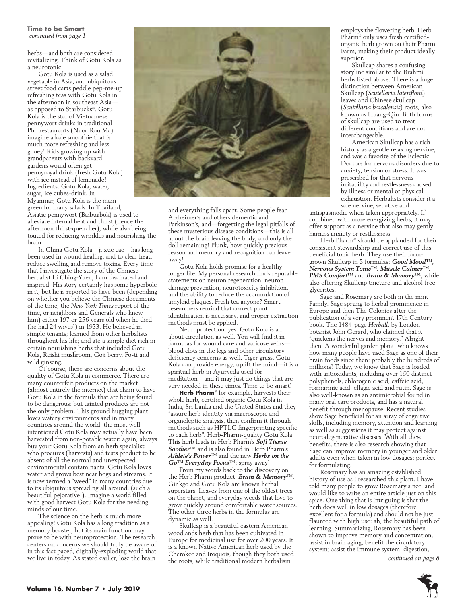herbs—and both are considered revitalizing. Think of Gotu Kola as a neurotonic.

Gotu Kola is used as a salad vegetable in Asia, and ubiquitous street food carts peddle pep-me-up refreshing teas with Gotu Kola in the afternoon in southeast Asia as opposed to Starbucks®. Gotu Kola is the star of Vietnamese pennywort drinks in traditional Pho restaurants (Nuoc Rau Ma): imagine a kale smoothie that is much more refreshing and less gooey! Kids growing up with grandparents with backyard gardens would often get pennyroyal drink (fresh Gotu Kola) with ice instead of lemonade! Ingredients: Gotu Kola, water, sugar, ice cubes-drink. In Myanmar, Gotu Kola is the main green for many salads. In Thailand, Asiatic pennywort (Baibuabok) is used to alleviate internal heat and thirst (hence the afternoon thirst-quencher), while also being touted for reducing wrinkles and nourishing the brain.

In China Gotu Kola—ji xue cao—has long been used in wound healing, and to clear heat, reduce swelling and remove toxins. Every time that I investigate the story of the Chinese herbalist Li Ching-Yuen, I am fascinated and inspired. His story certainly has some hyperbole in it, but he is reported to have been (depending on whether you believe the Chinese documents of the time, the *New York Times* report of the time, or neighbors and Generals who knew him) either 197 or 256 years old when he died (he had 24 wives!) in 1933. He believed in simple tenants; learned from other herbalists throughout his life; and ate a simple diet rich in certain nourishing herbs that included Gotu Kola, Reishi mushroom, Goji berry, Fo-ti and wild ginseng.

Of course, there are concerns about the quality of Gotu Kola in commerce. There are many counterfeit products on the market (almost entirely the internet) that claim to have Gotu Kola in the formula that are being found to be dangerous: but tainted products are not the only problem. This ground hugging plant loves watery environments and in many countries around the world, the most well intentioned Gotu Kola may actually have been harvested from non-potable water: again, always buy your Gotu Kola from an herb specialist who procures (harvests) and tests product to be absent of all the normal and unexpected environmental contaminants. Gotu Kola loves water and grows best near bogs and streams. It is now termed a "weed" in many countries due to its ubiquitous spreading all around. (such a beautiful pejorative!). Imagine a world filled with good harvest Gotu Kola for the needing minds of our time.

The science on the herb is much more appealing! Gotu Kola has a long tradition as a memory booster, but its main function may prove to be with neuroprotection. The research centers on concerns we should truly be aware of in this fast paced, digitally-exploding world that we live in today. As stated earlier, lose the brain



and everything falls apart. Some people fear Alzheimer's and others dementia and Parkinson's, and—forgetting the legal pitfalls of these mysterious disease conditions—this is all about the brain leaving the body, and only the doll remaining! Plunk, how quickly precious reason and memory and recognition can leave away!

Gotu Kola holds promise for a healthy longer life. My personal research finds reputable statements on neuron regeneration, neuron damage prevention, neurotoxicity inhibition, and the ability to reduce the accumulation of amyloid plaques. Fresh tea anyone? Smart researchers remind that correct plant identification is necessary, and proper extraction methods must be applied.

Neuroprotection: yes. Gotu Kola is all about circulation as well. You will find it in formulas for wound care and varicose veins blood clots in the legs and other circulatory deficiency concerns as well. Tiger grass. Gotu Kola can provide energy, uplift the mind—it is a spiritual herb in Ayurveda used for meditation—and it may just do things that are very needed in these times. Time to be smart!

**Herb Pharm**® for example, harvests their whole herb, certified organic Gotu Kola in India, Sri Lanka and the United States and they "assure herb identity via macroscopic and organoleptic analysis, then confirm it through methods such as HPTLC fingerprinting specific to each herb". Herb-Pharm-quality Gotu Kola. This herb leads in Herb Pharm's *Soft Tissue Soother*™ and is also found in Herb Pharm's *Athlete's Power*™ and the new *Herbs on the Go™ Everyday Focus*™: spray away!

From my words back to the discovery on the Herb Pharm product, *Brain & Memory*™. Ginkgo and Gotu Kola are known herbal superstars. Leaves from one of the oldest trees on the planet, and everyday weeds that love to grow quickly around comfortable water sources. The other three herbs in the formulas are dynamic as well.

Skullcap is a beautiful eastern American woodlands herb that has been cultivated in Europe for medicinal use for over 200 years. It is a known Native American herb used by the Cherokee and Iroquois, though they both used the roots, while traditional modern herbalism

employs the flowering herb. Herb Pharm® only uses fresh certifiedorganic herb grown on their Pharm Farm, making their product ideally superior.

Skullcap shares a confusing storyline similar to the Brahmi herbs listed above. There is a huge distinction between American Skullcap (*Scutellaria lateriflora*) leaves and Chinese skullcap (*Scutellaria baicalensis*) roots, also known as Huang-Qin. Both forms of skullcap are used to treat different conditions and are not interchangeable.

American Skullcap has a rich history as a gentle relaxing nervine, and was a favorite of the Eclectic Doctors for nervous disorders due to anxiety, tension or stress. It was prescribed for that nervous irritability and restlessness caused by illness or mental or physical exhaustion. Herbalists consider it a safe nervine, sedative and

antispasmodic when taken appropriately. If combined with more energizing herbs, it may offer support as a nervine that also may gently harness anxiety or restlessness.

Herb Pharm® should be applauded for their consistent stewardship and correct use of this beneficial tonic herb. They use their farmgrown Skullcap in 5 formulas: *Good Mood™, Nervous System Tonic™, Muscle Calmer™, PMS Comfort™* and *Brain & Memory™*, while also offering Skullcap tincture and alcohol-free glycerites.

Sage and Rosemary are both in the mint Family. Sage sprung to herbal prominence in Europe and then The Colonies after the publication of a very prominent 17th Century book. The 1484-page *Herball*, by London botanist John Gerard, who claimed that it "quickens the nerves and memory." Alright then. A wonderful garden plant, who knows how many people have used Sage as one of their brain foods since then: probably the hundreds of millions! Today, we know that Sage is loaded with antioxidants, including over 160 distinct polyphenols, chlorogenic acid, caffeic acid, rosmarinic acid, ellagic acid and rutin. Sage is also well-known as an antimicrobial found in many oral care products, and has a natural benefit through menopause. Recent studies show Sage beneficial for an array of cognitive skills, including memory, attention and learning; as well as suggestions it may protect against neurodegenerative diseases. With all these benefits, there is also research showing that Sage can improve memory in younger and older adults even when taken in low dosages: perfect for formulating.

Rosemary has an amazing established history of use as I researched this plant. I have told many people to grow Rosemary since, and would like to write an entire article just on this spice. One thing that is intriguing is that the herb does well in low dosages (therefore excellent for a formula) and should not be just flaunted with high use: ah, the beautiful path of learning. Summarizing, Rosemary has been shown to improve memory and concentration, assist in brain aging; benefit the circulatory system; assist the immune system, digestion,

*continued on page 8*